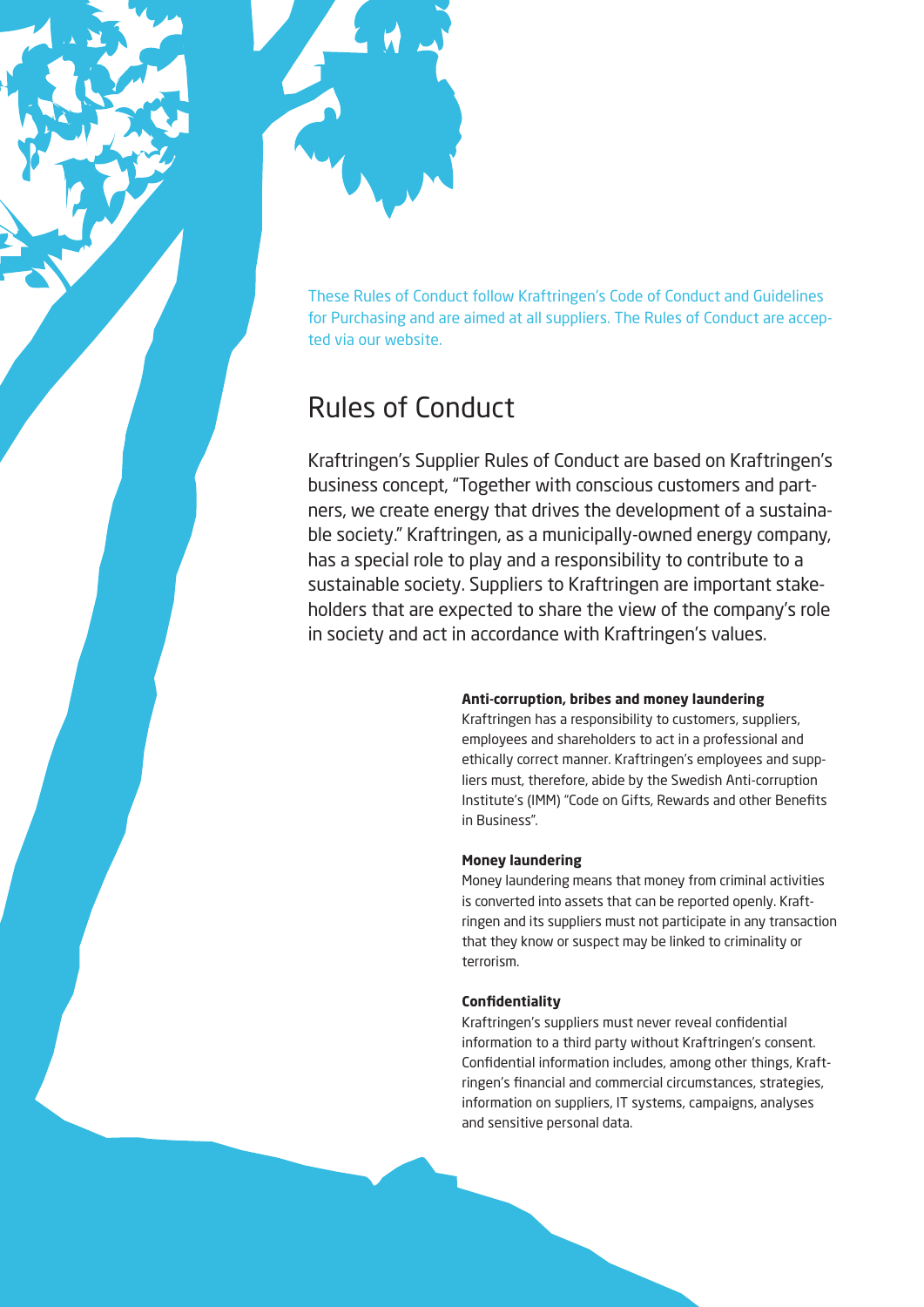

These Rules of Conduct follow Kraftringen's Code of Conduct and Guidelines for Purchasing and are aimed at all suppliers. The Rules of Conduct are accepted via our website.

# Rules of Conduct

Kraftringen's Supplier Rules of Conduct are based on Kraftringen's business concept, "Together with conscious customers and partners, we create energy that drives the development of a sustainable society." Kraftringen, as a municipally-owned energy company, has a special role to play and a responsibility to contribute to a sustainable society. Suppliers to Kraftringen are important stakeholders that are expected to share the view of the company's role in society and act in accordance with Kraftringen's values.

# **Anti-corruption, bribes and money laundering**

Kraftringen has a responsibility to customers, suppliers, employees and shareholders to act in a professional and ethically correct manner. Kraftringen's employees and suppliers must, therefore, abide by the Swedish Anti-corruption Institute's (IMM) "Code on Gifts, Rewards and other Benefits in Business".

# **Money laundering**

Money laundering means that money from criminal activities is converted into assets that can be reported openly. Kraftringen and its suppliers must not participate in any transaction that they know or suspect may be linked to criminality or terrorism.

# **Confidentiality**

Kraftringen's suppliers must never reveal confidential information to a third party without Kraftringen's consent. Confidential information includes, among other things, Kraftringen's financial and commercial circumstances, strategies, information on suppliers, IT systems, campaigns, analyses and sensitive personal data.